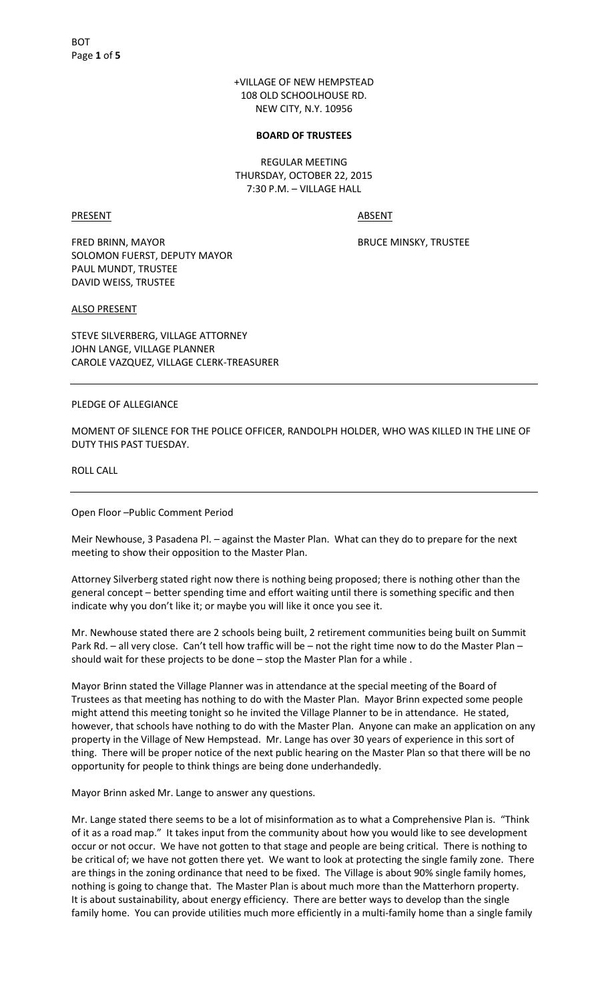+VILLAGE OF NEW HEMPSTEAD 108 OLD SCHOOLHOUSE RD. NEW CITY, N.Y. 10956

#### **BOARD OF TRUSTEES**

REGULAR MEETING THURSDAY, OCTOBER 22, 2015 7:30 P.M. – VILLAGE HALL

PRESENT ABSENT

FRED BRINN, MAYOR BRUCE MINSKY, TRUSTEE SOLOMON FUERST, DEPUTY MAYOR PAUL MUNDT, TRUSTEE DAVID WEISS, TRUSTEE

ALSO PRESENT

STEVE SILVERBERG, VILLAGE ATTORNEY JOHN LANGE, VILLAGE PLANNER CAROLE VAZQUEZ, VILLAGE CLERK-TREASURER

PLEDGE OF ALLEGIANCE

MOMENT OF SILENCE FOR THE POLICE OFFICER, RANDOLPH HOLDER, WHO WAS KILLED IN THE LINE OF DUTY THIS PAST TUESDAY.

ROLL CALL

Open Floor –Public Comment Period

Meir Newhouse, 3 Pasadena Pl. – against the Master Plan. What can they do to prepare for the next meeting to show their opposition to the Master Plan.

Attorney Silverberg stated right now there is nothing being proposed; there is nothing other than the general concept – better spending time and effort waiting until there is something specific and then indicate why you don't like it; or maybe you will like it once you see it.

Mr. Newhouse stated there are 2 schools being built, 2 retirement communities being built on Summit Park Rd. – all very close. Can't tell how traffic will be – not the right time now to do the Master Plan – should wait for these projects to be done – stop the Master Plan for a while .

Mayor Brinn stated the Village Planner was in attendance at the special meeting of the Board of Trustees as that meeting has nothing to do with the Master Plan. Mayor Brinn expected some people might attend this meeting tonight so he invited the Village Planner to be in attendance. He stated, however, that schools have nothing to do with the Master Plan. Anyone can make an application on any property in the Village of New Hempstead. Mr. Lange has over 30 years of experience in this sort of thing. There will be proper notice of the next public hearing on the Master Plan so that there will be no opportunity for people to think things are being done underhandedly.

Mayor Brinn asked Mr. Lange to answer any questions.

Mr. Lange stated there seems to be a lot of misinformation as to what a Comprehensive Plan is. "Think of it as a road map." It takes input from the community about how you would like to see development occur or not occur. We have not gotten to that stage and people are being critical. There is nothing to be critical of; we have not gotten there yet. We want to look at protecting the single family zone. There are things in the zoning ordinance that need to be fixed. The Village is about 90% single family homes, nothing is going to change that. The Master Plan is about much more than the Matterhorn property. It is about sustainability, about energy efficiency. There are better ways to develop than the single family home. You can provide utilities much more efficiently in a multi-family home than a single family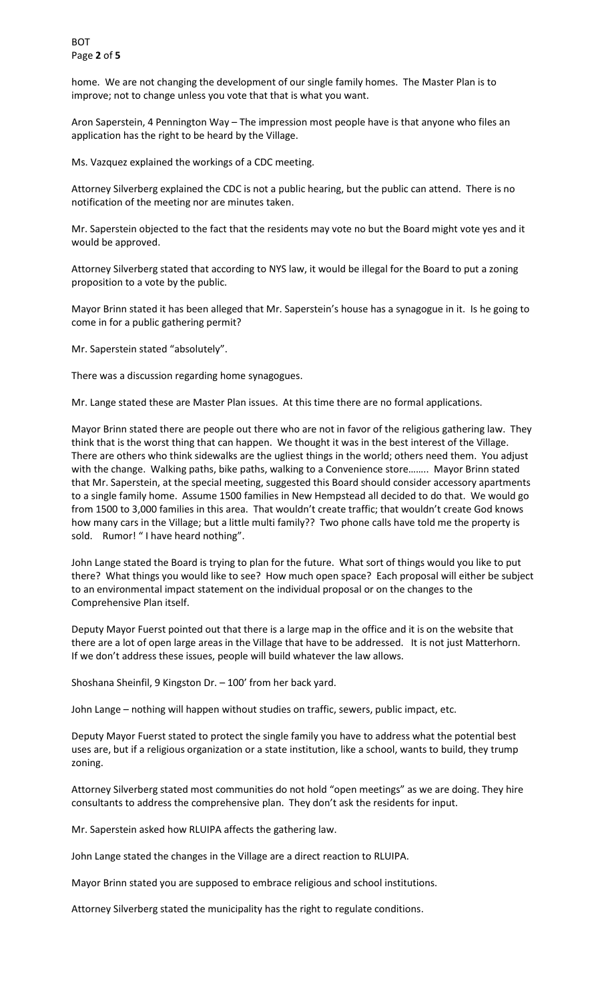home. We are not changing the development of our single family homes. The Master Plan is to improve; not to change unless you vote that that is what you want.

Aron Saperstein, 4 Pennington Way – The impression most people have is that anyone who files an application has the right to be heard by the Village.

Ms. Vazquez explained the workings of a CDC meeting.

Attorney Silverberg explained the CDC is not a public hearing, but the public can attend. There is no notification of the meeting nor are minutes taken.

Mr. Saperstein objected to the fact that the residents may vote no but the Board might vote yes and it would be approved.

Attorney Silverberg stated that according to NYS law, it would be illegal for the Board to put a zoning proposition to a vote by the public.

Mayor Brinn stated it has been alleged that Mr. Saperstein's house has a synagogue in it. Is he going to come in for a public gathering permit?

Mr. Saperstein stated "absolutely".

There was a discussion regarding home synagogues.

Mr. Lange stated these are Master Plan issues. At this time there are no formal applications.

Mayor Brinn stated there are people out there who are not in favor of the religious gathering law. They think that is the worst thing that can happen. We thought it was in the best interest of the Village. There are others who think sidewalks are the ugliest things in the world; others need them. You adjust with the change. Walking paths, bike paths, walking to a Convenience store........ Mayor Brinn stated that Mr. Saperstein, at the special meeting, suggested this Board should consider accessory apartments to a single family home. Assume 1500 families in New Hempstead all decided to do that. We would go from 1500 to 3,000 families in this area. That wouldn't create traffic; that wouldn't create God knows how many cars in the Village; but a little multi family?? Two phone calls have told me the property is sold. Rumor! "I have heard nothing".

John Lange stated the Board is trying to plan for the future. What sort of things would you like to put there? What things you would like to see? How much open space? Each proposal will either be subject to an environmental impact statement on the individual proposal or on the changes to the Comprehensive Plan itself.

Deputy Mayor Fuerst pointed out that there is a large map in the office and it is on the website that there are a lot of open large areas in the Village that have to be addressed. It is not just Matterhorn. If we don't address these issues, people will build whatever the law allows.

Shoshana Sheinfil, 9 Kingston Dr. – 100' from her back yard.

John Lange – nothing will happen without studies on traffic, sewers, public impact, etc.

Deputy Mayor Fuerst stated to protect the single family you have to address what the potential best uses are, but if a religious organization or a state institution, like a school, wants to build, they trump zoning.

Attorney Silverberg stated most communities do not hold "open meetings" as we are doing. They hire consultants to address the comprehensive plan. They don't ask the residents for input.

Mr. Saperstein asked how RLUIPA affects the gathering law.

John Lange stated the changes in the Village are a direct reaction to RLUIPA.

Mayor Brinn stated you are supposed to embrace religious and school institutions.

Attorney Silverberg stated the municipality has the right to regulate conditions.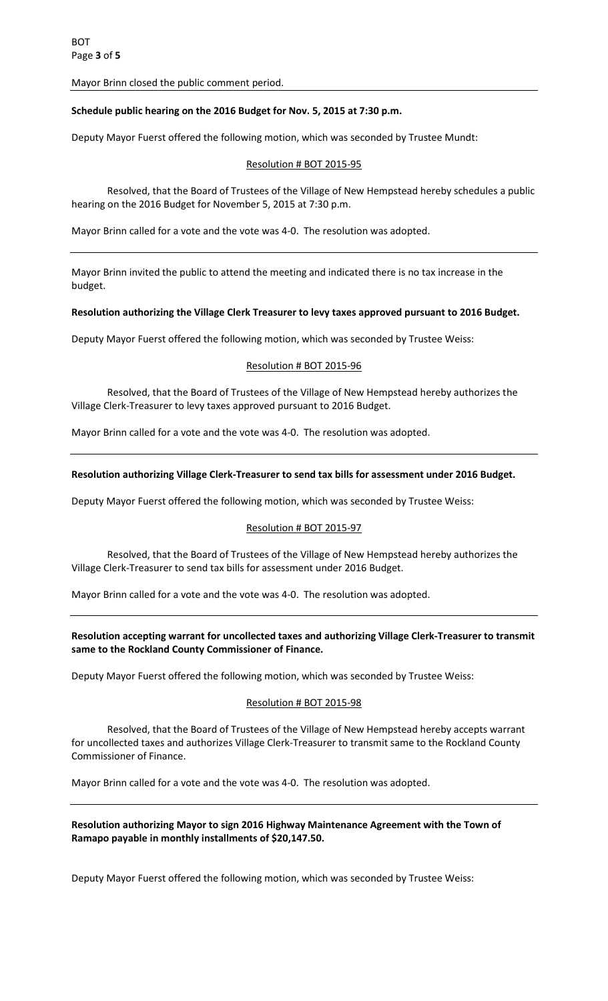Mayor Brinn closed the public comment period.

# **Schedule public hearing on the 2016 Budget for Nov. 5, 2015 at 7:30 p.m.**

Deputy Mayor Fuerst offered the following motion, which was seconded by Trustee Mundt:

# Resolution # BOT 2015-95

 Resolved, that the Board of Trustees of the Village of New Hempstead hereby schedules a public hearing on the 2016 Budget for November 5, 2015 at 7:30 p.m.

Mayor Brinn called for a vote and the vote was 4-0. The resolution was adopted.

Mayor Brinn invited the public to attend the meeting and indicated there is no tax increase in the budget.

### **Resolution authorizing the Village Clerk Treasurer to levy taxes approved pursuant to 2016 Budget.**

Deputy Mayor Fuerst offered the following motion, which was seconded by Trustee Weiss:

### Resolution # BOT 2015-96

 Resolved, that the Board of Trustees of the Village of New Hempstead hereby authorizes the Village Clerk-Treasurer to levy taxes approved pursuant to 2016 Budget.

Mayor Brinn called for a vote and the vote was 4-0. The resolution was adopted.

### **Resolution authorizing Village Clerk-Treasurer to send tax bills for assessment under 2016 Budget.**

Deputy Mayor Fuerst offered the following motion, which was seconded by Trustee Weiss:

#### Resolution # BOT 2015-97

 Resolved, that the Board of Trustees of the Village of New Hempstead hereby authorizes the Village Clerk-Treasurer to send tax bills for assessment under 2016 Budget.

Mayor Brinn called for a vote and the vote was 4-0. The resolution was adopted.

# **Resolution accepting warrant for uncollected taxes and authorizing Village Clerk-Treasurer to transmit same to the Rockland County Commissioner of Finance.**

Deputy Mayor Fuerst offered the following motion, which was seconded by Trustee Weiss:

# Resolution # BOT 2015-98

 Resolved, that the Board of Trustees of the Village of New Hempstead hereby accepts warrant for uncollected taxes and authorizes Village Clerk-Treasurer to transmit same to the Rockland County Commissioner of Finance.

Mayor Brinn called for a vote and the vote was 4-0. The resolution was adopted.

# **Resolution authorizing Mayor to sign 2016 Highway Maintenance Agreement with the Town of Ramapo payable in monthly installments of \$20,147.50.**

Deputy Mayor Fuerst offered the following motion, which was seconded by Trustee Weiss: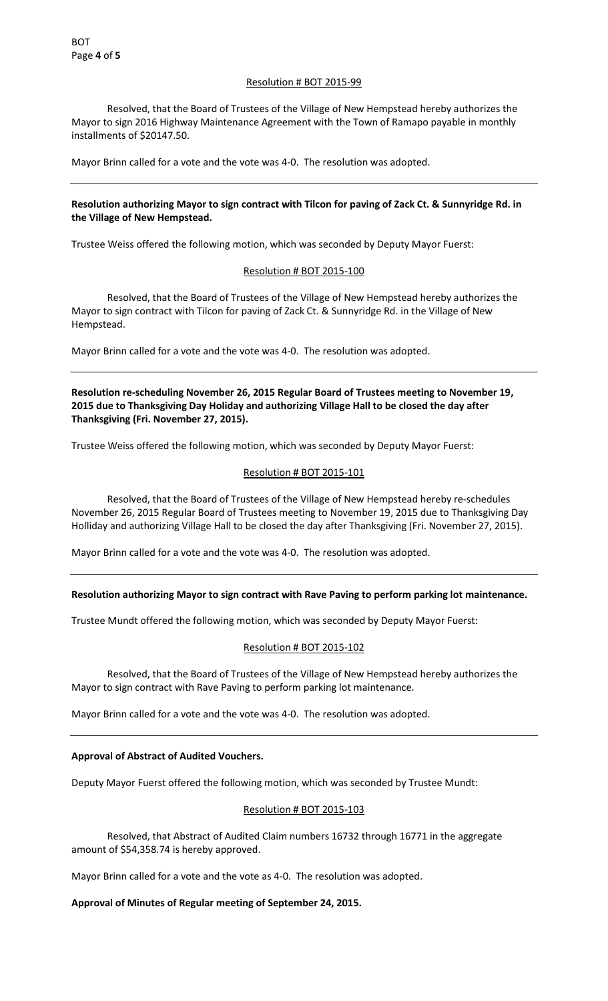# Resolution # BOT 2015-99

 Resolved, that the Board of Trustees of the Village of New Hempstead hereby authorizes the Mayor to sign 2016 Highway Maintenance Agreement with the Town of Ramapo payable in monthly installments of \$20147.50.

Mayor Brinn called for a vote and the vote was 4-0. The resolution was adopted.

# **Resolution authorizing Mayor to sign contract with Tilcon for paving of Zack Ct. & Sunnyridge Rd. in the Village of New Hempstead.**

Trustee Weiss offered the following motion, which was seconded by Deputy Mayor Fuerst:

# Resolution # BOT 2015-100

 Resolved, that the Board of Trustees of the Village of New Hempstead hereby authorizes the Mayor to sign contract with Tilcon for paving of Zack Ct. & Sunnyridge Rd. in the Village of New Hempstead.

Mayor Brinn called for a vote and the vote was 4-0. The resolution was adopted.

**Resolution re-scheduling November 26, 2015 Regular Board of Trustees meeting to November 19, 2015 due to Thanksgiving Day Holiday and authorizing Village Hall to be closed the day after Thanksgiving (Fri. November 27, 2015).** 

Trustee Weiss offered the following motion, which was seconded by Deputy Mayor Fuerst:

# Resolution # BOT 2015-101

 Resolved, that the Board of Trustees of the Village of New Hempstead hereby re-schedules November 26, 2015 Regular Board of Trustees meeting to November 19, 2015 due to Thanksgiving Day Holliday and authorizing Village Hall to be closed the day after Thanksgiving (Fri. November 27, 2015).

Mayor Brinn called for a vote and the vote was 4-0. The resolution was adopted.

# **Resolution authorizing Mayor to sign contract with Rave Paving to perform parking lot maintenance.**

Trustee Mundt offered the following motion, which was seconded by Deputy Mayor Fuerst:

# Resolution # BOT 2015-102

 Resolved, that the Board of Trustees of the Village of New Hempstead hereby authorizes the Mayor to sign contract with Rave Paving to perform parking lot maintenance.

Mayor Brinn called for a vote and the vote was 4-0. The resolution was adopted.

# **Approval of Abstract of Audited Vouchers.**

Deputy Mayor Fuerst offered the following motion, which was seconded by Trustee Mundt:

# Resolution # BOT 2015-103

 Resolved, that Abstract of Audited Claim numbers 16732 through 16771 in the aggregate amount of \$54,358.74 is hereby approved.

Mayor Brinn called for a vote and the vote as 4-0. The resolution was adopted.

**Approval of Minutes of Regular meeting of September 24, 2015.**